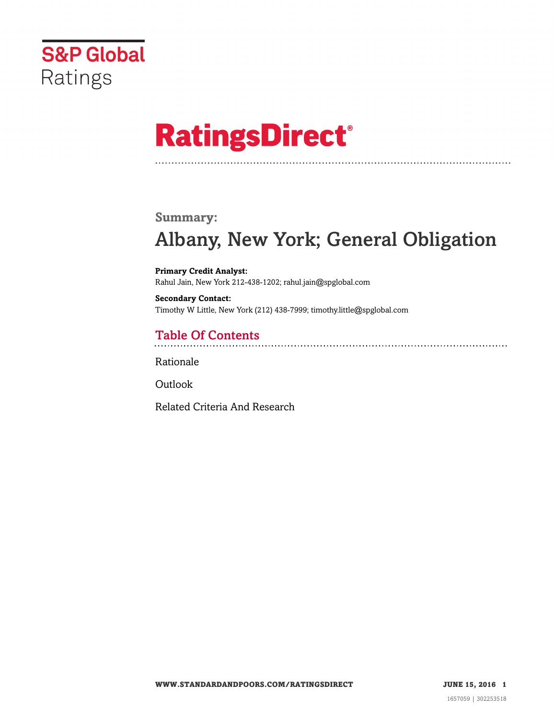

# **RatingsDirect®**

### **Summary:**

# Albany, New York; General Obligation

**Primary Credit Analyst:** Rahul Jain, New York 212-438-1202; rahul.jain@spglobal.com

**Secondary Contact:** Timothy W Little, New York (212) 438-7999; timothy.little@spglobal.com

# Table Of Contents

[Rationale](#page-1-0)

**[Outlook](#page-4-0)** 

[Related Criteria And Research](#page-4-1)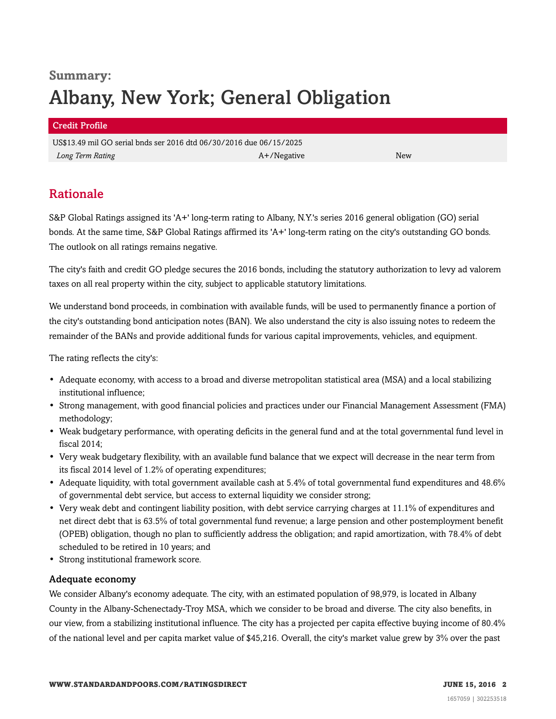# **Summary:** Albany, New York; General Obligation

#### Credit Profile

US\$13.49 mil GO serial bnds ser 2016 dtd 06/30/2016 due 06/15/2025 *Long Term Rating* New *New A+/Negative* A+/Negative A+/Negative New

# <span id="page-1-0"></span>Rationale

S&P Global Ratings assigned its 'A+' long-term rating to Albany, N.Y.'s series 2016 general obligation (GO) serial bonds. At the same time, S&P Global Ratings affirmed its 'A+' long-term rating on the city's outstanding GO bonds. The outlook on all ratings remains negative.

The city's faith and credit GO pledge secures the 2016 bonds, including the statutory authorization to levy ad valorem taxes on all real property within the city, subject to applicable statutory limitations.

We understand bond proceeds, in combination with available funds, will be used to permanently finance a portion of the city's outstanding bond anticipation notes (BAN). We also understand the city is also issuing notes to redeem the remainder of the BANs and provide additional funds for various capital improvements, vehicles, and equipment.

The rating reflects the city's:

- Adequate economy, with access to a broad and diverse metropolitan statistical area (MSA) and a local stabilizing institutional influence;
- Strong management, with good financial policies and practices under our Financial Management Assessment (FMA) methodology;
- Weak budgetary performance, with operating deficits in the general fund and at the total governmental fund level in fiscal 2014;
- Very weak budgetary flexibility, with an available fund balance that we expect will decrease in the near term from its fiscal 2014 level of 1.2% of operating expenditures;
- Adequate liquidity, with total government available cash at 5.4% of total governmental fund expenditures and 48.6% of governmental debt service, but access to external liquidity we consider strong;
- Very weak debt and contingent liability position, with debt service carrying charges at 11.1% of expenditures and net direct debt that is 63.5% of total governmental fund revenue; a large pension and other postemployment benefit (OPEB) obligation, though no plan to sufficiently address the obligation; and rapid amortization, with 78.4% of debt scheduled to be retired in 10 years; and
- Strong institutional framework score.

#### Adequate economy

We consider Albany's economy adequate. The city, with an estimated population of 98,979, is located in Albany County in the Albany-Schenectady-Troy MSA, which we consider to be broad and diverse. The city also benefits, in our view, from a stabilizing institutional influence. The city has a projected per capita effective buying income of 80.4% of the national level and per capita market value of \$45,216. Overall, the city's market value grew by 3% over the past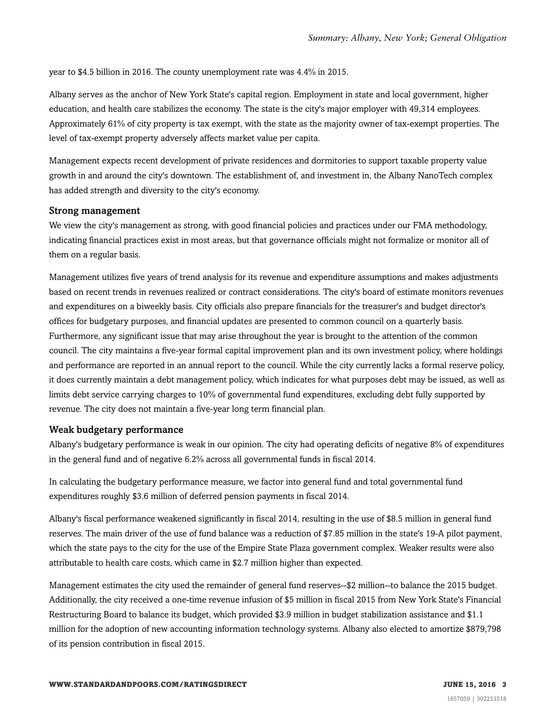year to \$4.5 billion in 2016. The county unemployment rate was 4.4% in 2015.

Albany serves as the anchor of New York State's capital region. Employment in state and local government, higher education, and health care stabilizes the economy. The state is the city's major employer with 49,314 employees. Approximately 61% of city property is tax exempt, with the state as the majority owner of tax-exempt properties. The level of tax-exempt property adversely affects market value per capita.

Management expects recent development of private residences and dormitories to support taxable property value growth in and around the city's downtown. The establishment of, and investment in, the Albany NanoTech complex has added strength and diversity to the city's economy.

#### Strong management

We view the city's management as strong, with good financial policies and practices under our FMA methodology, indicating financial practices exist in most areas, but that governance officials might not formalize or monitor all of them on a regular basis.

Management utilizes five years of trend analysis for its revenue and expenditure assumptions and makes adjustments based on recent trends in revenues realized or contract considerations. The city's board of estimate monitors revenues and expenditures on a biweekly basis. City officials also prepare financials for the treasurer's and budget director's offices for budgetary purposes, and financial updates are presented to common council on a quarterly basis. Furthermore, any significant issue that may arise throughout the year is brought to the attention of the common council. The city maintains a five-year formal capital improvement plan and its own investment policy, where holdings and performance are reported in an annual report to the council. While the city currently lacks a formal reserve policy, it does currently maintain a debt management policy, which indicates for what purposes debt may be issued, as well as limits debt service carrying charges to 10% of governmental fund expenditures, excluding debt fully supported by revenue. The city does not maintain a five-year long term financial plan.

#### Weak budgetary performance

Albany's budgetary performance is weak in our opinion. The city had operating deficits of negative 8% of expenditures in the general fund and of negative 6.2% across all governmental funds in fiscal 2014.

In calculating the budgetary performance measure, we factor into general fund and total governmental fund expenditures roughly \$3.6 million of deferred pension payments in fiscal 2014.

Albany's fiscal performance weakened significantly in fiscal 2014, resulting in the use of \$8.5 million in general fund reserves. The main driver of the use of fund balance was a reduction of \$7.85 million in the state's 19-A pilot payment, which the state pays to the city for the use of the Empire State Plaza government complex. Weaker results were also attributable to health care costs, which came in \$2.7 million higher than expected.

Management estimates the city used the remainder of general fund reserves--\$2 million--to balance the 2015 budget. Additionally, the city received a one-time revenue infusion of \$5 million in fiscal 2015 from New York State's Financial Restructuring Board to balance its budget, which provided \$3.9 million in budget stabilization assistance and \$1.1 million for the adoption of new accounting information technology systems. Albany also elected to amortize \$879,798 of its pension contribution in fiscal 2015.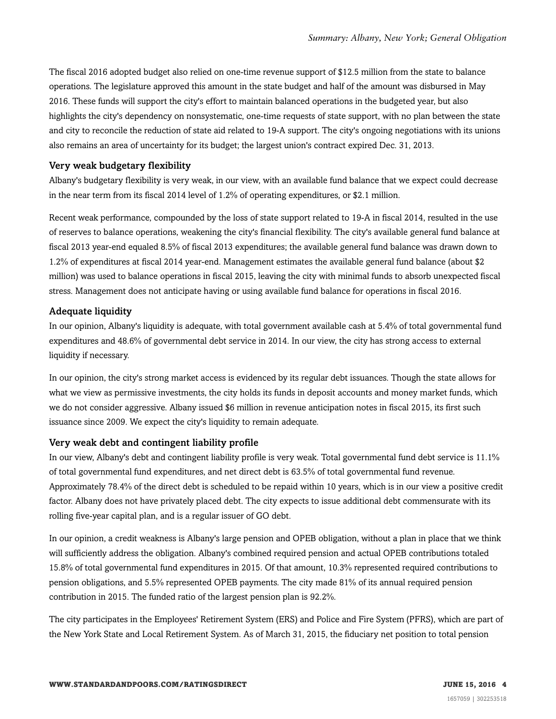The fiscal 2016 adopted budget also relied on one-time revenue support of \$12.5 million from the state to balance operations. The legislature approved this amount in the state budget and half of the amount was disbursed in May 2016. These funds will support the city's effort to maintain balanced operations in the budgeted year, but also highlights the city's dependency on nonsystematic, one-time requests of state support, with no plan between the state and city to reconcile the reduction of state aid related to 19-A support. The city's ongoing negotiations with its unions also remains an area of uncertainty for its budget; the largest union's contract expired Dec. 31, 2013.

#### Very weak budgetary flexibility

Albany's budgetary flexibility is very weak, in our view, with an available fund balance that we expect could decrease in the near term from its fiscal 2014 level of 1.2% of operating expenditures, or \$2.1 million.

Recent weak performance, compounded by the loss of state support related to 19-A in fiscal 2014, resulted in the use of reserves to balance operations, weakening the city's financial flexibility. The city's available general fund balance at fiscal 2013 year-end equaled 8.5% of fiscal 2013 expenditures; the available general fund balance was drawn down to 1.2% of expenditures at fiscal 2014 year-end. Management estimates the available general fund balance (about \$2 million) was used to balance operations in fiscal 2015, leaving the city with minimal funds to absorb unexpected fiscal stress. Management does not anticipate having or using available fund balance for operations in fiscal 2016.

#### Adequate liquidity

In our opinion, Albany's liquidity is adequate, with total government available cash at 5.4% of total governmental fund expenditures and 48.6% of governmental debt service in 2014. In our view, the city has strong access to external liquidity if necessary.

In our opinion, the city's strong market access is evidenced by its regular debt issuances. Though the state allows for what we view as permissive investments, the city holds its funds in deposit accounts and money market funds, which we do not consider aggressive. Albany issued \$6 million in revenue anticipation notes in fiscal 2015, its first such issuance since 2009. We expect the city's liquidity to remain adequate.

#### Very weak debt and contingent liability profile

In our view, Albany's debt and contingent liability profile is very weak. Total governmental fund debt service is 11.1% of total governmental fund expenditures, and net direct debt is 63.5% of total governmental fund revenue. Approximately 78.4% of the direct debt is scheduled to be repaid within 10 years, which is in our view a positive credit factor. Albany does not have privately placed debt. The city expects to issue additional debt commensurate with its rolling five-year capital plan, and is a regular issuer of GO debt.

In our opinion, a credit weakness is Albany's large pension and OPEB obligation, without a plan in place that we think will sufficiently address the obligation. Albany's combined required pension and actual OPEB contributions totaled 15.8% of total governmental fund expenditures in 2015. Of that amount, 10.3% represented required contributions to pension obligations, and 5.5% represented OPEB payments. The city made 81% of its annual required pension contribution in 2015. The funded ratio of the largest pension plan is 92.2%.

The city participates in the Employees' Retirement System (ERS) and Police and Fire System (PFRS), which are part of the New York State and Local Retirement System. As of March 31, 2015, the fiduciary net position to total pension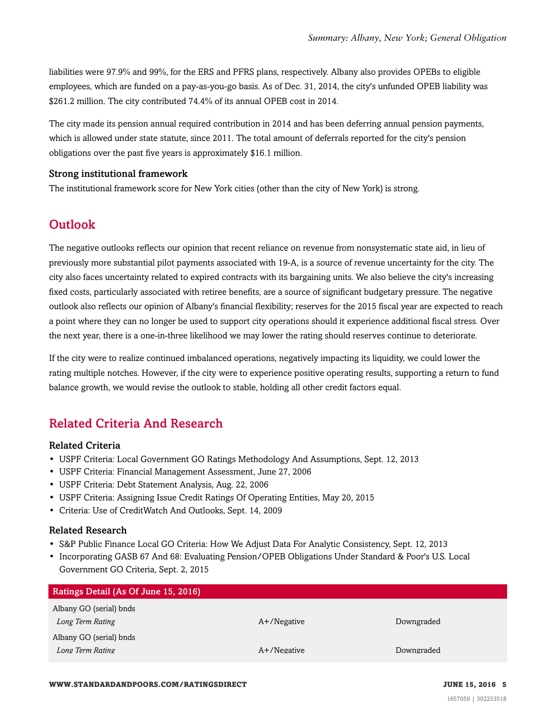liabilities were 97.9% and 99%, for the ERS and PFRS plans, respectively. Albany also provides OPEBs to eligible employees, which are funded on a pay-as-you-go basis. As of Dec. 31, 2014, the city's unfunded OPEB liability was \$261.2 million. The city contributed 74.4% of its annual OPEB cost in 2014.

The city made its pension annual required contribution in 2014 and has been deferring annual pension payments, which is allowed under state statute, since 2011. The total amount of deferrals reported for the city's pension obligations over the past five years is approximately \$16.1 million.

#### Strong institutional framework

<span id="page-4-0"></span>The institutional framework score for New York cities (other than the city of New York) is strong.

# **Outlook**

The negative outlooks reflects our opinion that recent reliance on revenue from nonsystematic state aid, in lieu of previously more substantial pilot payments associated with 19-A, is a source of revenue uncertainty for the city. The city also faces uncertainty related to expired contracts with its bargaining units. We also believe the city's increasing fixed costs, particularly associated with retiree benefits, are a source of significant budgetary pressure. The negative outlook also reflects our opinion of Albany's financial flexibility; reserves for the 2015 fiscal year are expected to reach a point where they can no longer be used to support city operations should it experience additional fiscal stress. Over the next year, there is a one-in-three likelihood we may lower the rating should reserves continue to deteriorate.

If the city were to realize continued imbalanced operations, negatively impacting its liquidity, we could lower the rating multiple notches. However, if the city were to experience positive operating results, supporting a return to fund balance growth, we would revise the outlook to stable, holding all other credit factors equal.

# <span id="page-4-1"></span>Related Criteria And Research

#### Related Criteria

- USPF Criteria: Local Government GO Ratings Methodology And Assumptions, Sept. 12, 2013
- USPF Criteria: Financial Management Assessment, June 27, 2006
- USPF Criteria: Debt Statement Analysis, Aug. 22, 2006
- USPF Criteria: Assigning Issue Credit Ratings Of Operating Entities, May 20, 2015
- Criteria: Use of CreditWatch And Outlooks, Sept. 14, 2009

#### Related Research

- S&P Public Finance Local GO Criteria: How We Adjust Data For Analytic Consistency, Sept. 12, 2013
- Incorporating GASB 67 And 68: Evaluating Pension/OPEB Obligations Under Standard & Poor's U.S. Local Government GO Criteria, Sept. 2, 2015

| Ratings Detail (As Of June 15, 2016) |                |            |
|--------------------------------------|----------------|------------|
| Albany GO (serial) bnds              |                |            |
| Long Term Rating                     | $A+$ /Negative | Downgraded |
| Albany GO (serial) bnds              |                |            |
| Long Term Rating                     | $A+$ /Negative | Downgraded |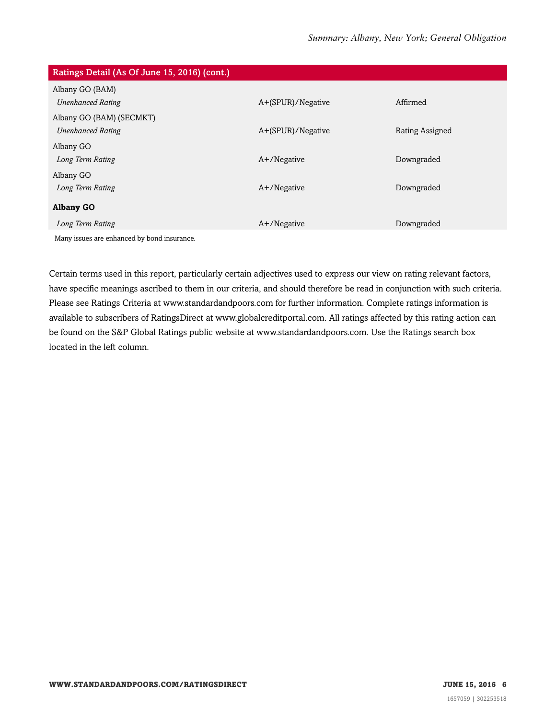| Ratings Detail (As Of June 15, 2016) (cont.) |                   |                 |
|----------------------------------------------|-------------------|-----------------|
| Albany GO (BAM)                              |                   |                 |
| <b>Unenhanced Rating</b>                     | A+(SPUR)/Negative | Affirmed        |
| Albany GO (BAM) (SECMKT)                     |                   |                 |
| <b>Unenhanced Rating</b>                     | A+(SPUR)/Negative | Rating Assigned |
| Albany GO                                    |                   |                 |
| Long Term Rating                             | $A+$ /Negative    | Downgraded      |
| Albany GO                                    |                   |                 |
| Long Term Rating                             | $A+$ /Negative    | Downgraded      |
| <b>Albany GO</b>                             |                   |                 |
| Long Term Rating                             | $A+$ /Negative    | Downgraded      |
| Many issues are enhanced by bond insurance.  |                   |                 |

Certain terms used in this report, particularly certain adjectives used to express our view on rating relevant factors, have specific meanings ascribed to them in our criteria, and should therefore be read in conjunction with such criteria. Please see Ratings Criteria at www.standardandpoors.com for further information. Complete ratings information is available to subscribers of RatingsDirect at www.globalcreditportal.com. All ratings affected by this rating action can be found on the S&P Global Ratings public website at www.standardandpoors.com. Use the Ratings search box located in the left column.